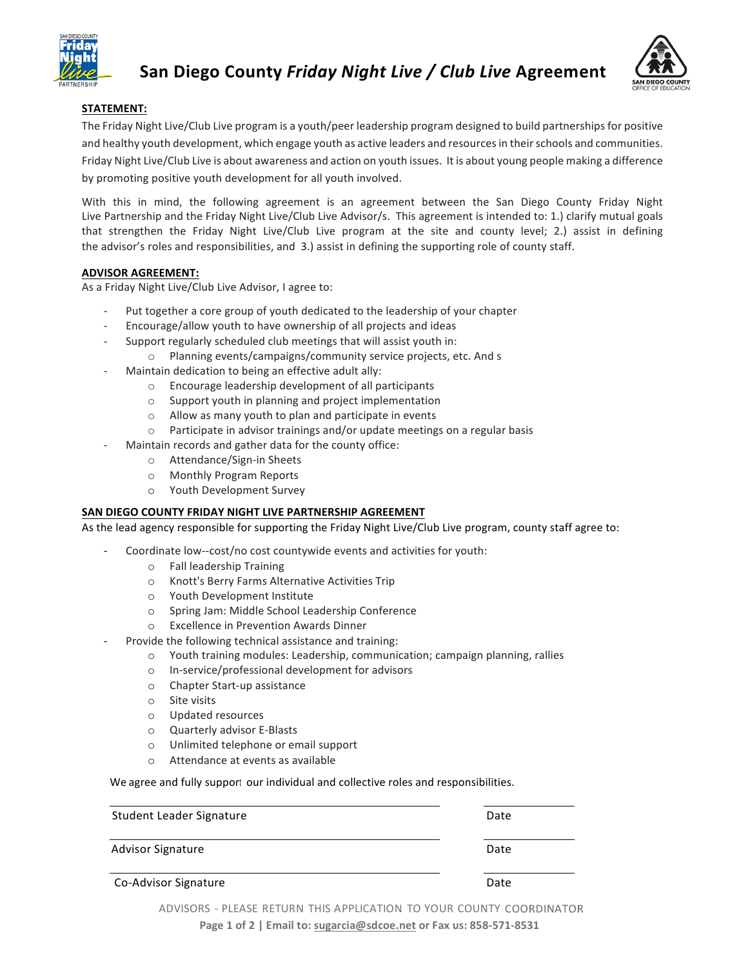



## **STATEMENT:**

The Friday Night Live/Club Live program is a youth/peer leadership program designed to build partnerships for positive and healthy youth development, which engage youth as active leaders and resources in their schools and communities. Friday Night Live/Club Live is about awareness and action on youth issues. It is about young people making a difference by promoting positive youth development for all youth involved.

With this in mind, the following agreement is an agreement between the San Diego County Friday Night Live Partnership and the Friday Night Live/Club Live Advisor/s. This agreement is intended to: 1.) clarify mutual goals that strengthen the Friday Night Live/Club Live program at the site and county level; 2.) assist in defining the advisor's roles and responsibilities, and 3.) assist in defining the supporting role of county staff.

## **ADVISOR AGREEMENT:**

As a Friday Night Live/Club Live Advisor, I agree to:

- Put together a core group of youth dedicated to the leadership of your chapter
- Encourage/allow youth to have ownership of all projects and ideas
- Support regularly scheduled club meetings that will assist youth in:
	- o Planning events/campaigns/community service projects, etc. And s
- Maintain dedication to being an effective adult ally:
	- $\circ$  Encourage leadership development of all participants
	- $\circ$  Support youth in planning and project implementation
	- $\circ$  Allow as many youth to plan and participate in events
	- $\circ$  Participate in advisor trainings and/or update meetings on a regular basis
- Maintain records and gather data for the county office:
	- o Attendance/Sign-in Sheets
	- o Monthly Program Reports
	- o Youth Development Survey

## **SAN DIEGO COUNTY FRIDAY NIGHT LIVE PARTNERSHIP AGREEMENT**

As the lead agency responsible for supporting the Friday Night Live/Club Live program, county staff agree to:

- Coordinate low--cost/no cost countywide events and activities for youth:
	- o Fall leadership Training
	- o Knott's Berry Farms Alternative Activities Trip
	- o Youth Development Institute
	- o Spring Jam: Middle School Leadership Conference
	- o Excellence in Prevention Awards Dinner
	- Provide the following technical assistance and training:
		- o Youth training modules: Leadership, communication; campaign planning, rallies
		- o In-service/professional development for advisors
		- o Chapter Start-up assistance
		- $\circ$  Site visits
		- o Updated resources
		- o Quarterly advisor E-Blasts
		- o Unlimited telephone or email support
		- o Attendance at events as available

We agree and fully support our individual and collective roles and responsibilities.

| Student Leader Signature | Date |
|--------------------------|------|
| <b>Advisor Signature</b> | Date |
| Co-Advisor Signature     | Date |

ADVISORS - PLEASE RETURN THIS APPLICATION TO YOUR COUNTY

Page 1 of 2 | Email to: sugarcia@sdcoe.net or Fax us: 858-571-8531